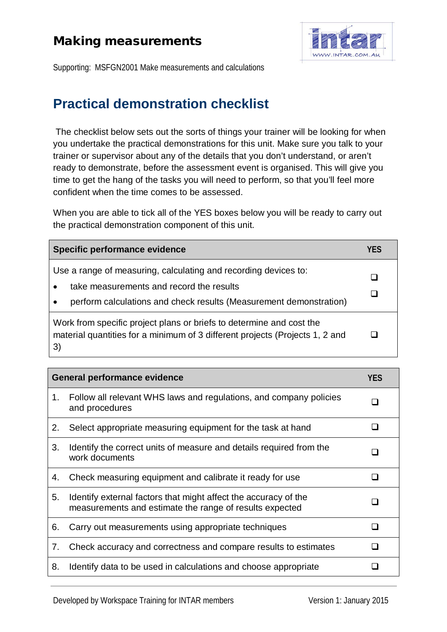## Making measurements



Supporting: MSFGN2001 Make measurements and calculations

## **Practical demonstration checklist**

The checklist below sets out the sorts of things your trainer will be looking for when you undertake the practical demonstrations for this unit. Make sure you talk to your trainer or supervisor about any of the details that you don't understand, or aren't ready to demonstrate, before the assessment event is organised. This will give you time to get the hang of the tasks you will need to perform, so that you'll feel more confident when the time comes to be assessed.

When you are able to tick all of the YES boxes below you will be ready to carry out the practical demonstration component of this unit.

| Specific performance evidence                                                                                                                                                     |  |
|-----------------------------------------------------------------------------------------------------------------------------------------------------------------------------------|--|
| Use a range of measuring, calculating and recording devices to:<br>take measurements and record the results<br>perform calculations and check results (Measurement demonstration) |  |
| Work from specific project plans or briefs to determine and cost the<br>material quantities for a minimum of 3 different projects (Projects 1, 2 and<br>3)                        |  |

| <b>General performance evidence</b> |                                                                                                                            | <b>YES</b> |
|-------------------------------------|----------------------------------------------------------------------------------------------------------------------------|------------|
| 1.                                  | Follow all relevant WHS laws and regulations, and company policies<br>and procedures                                       |            |
| 2.                                  | Select appropriate measuring equipment for the task at hand                                                                |            |
| 3.                                  | Identify the correct units of measure and details required from the<br>work documents                                      |            |
| 4.                                  | Check measuring equipment and calibrate it ready for use                                                                   |            |
| 5.                                  | Identify external factors that might affect the accuracy of the<br>measurements and estimate the range of results expected |            |
| 6.                                  | Carry out measurements using appropriate techniques                                                                        |            |
| 7.                                  | Check accuracy and correctness and compare results to estimates                                                            |            |
| 8.                                  | Identify data to be used in calculations and choose appropriate                                                            |            |